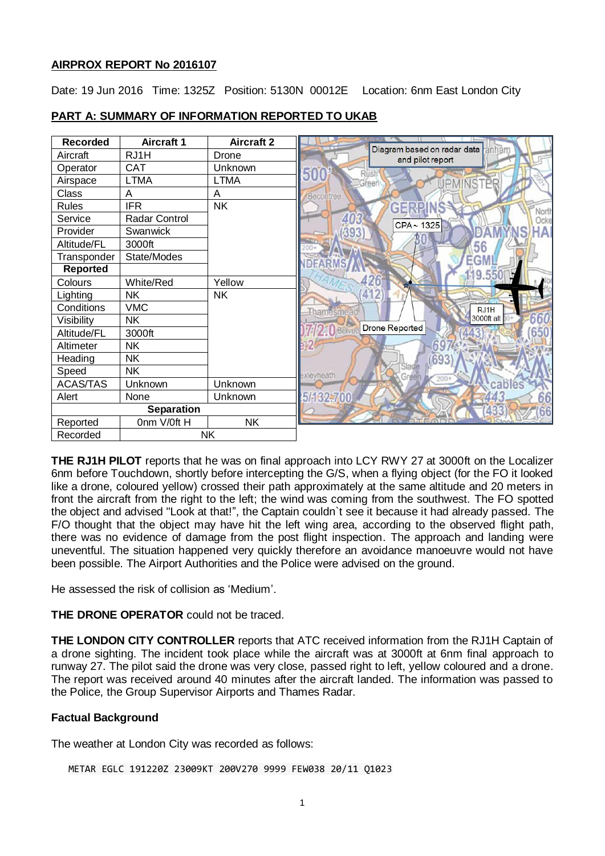## **AIRPROX REPORT No 2016107**

Date: 19 Jun 2016 Time: 1325Z Position: 5130N 00012E Location: 6nm East London City

| <b>Recorded</b>   | <b>Aircraft 1</b> | <b>Aircraft 2</b> |                                                          |
|-------------------|-------------------|-------------------|----------------------------------------------------------|
| Aircraft          | RJ1H              | Drone             | Diagram based on radar data<br>anhar<br>and pilot report |
| Operator          | <b>CAT</b>        | Unknown           | 501                                                      |
| Airspace          | <b>LTMA</b>       | <b>LTMA</b>       | areer                                                    |
| Class             | A                 | A                 | Becontree                                                |
| <b>Rules</b>      | <b>IFR</b>        | <b>NK</b>         | 어리었어                                                     |
| Service           | Radar Control     |                   | North<br>Ocke<br>CPA~1325                                |
| Provider          | Swanwick          |                   | HAI<br>393                                               |
| Altitude/FL       | 3000ft            |                   | 56                                                       |
| Transponder       | State/Modes       |                   | GM<br><b>DFARMS</b>                                      |
| <b>Reported</b>   |                   |                   |                                                          |
| Colours           | White/Red         | Yellow            |                                                          |
| Lighting          | <b>NK</b>         | <b>NK</b>         | 412                                                      |
| Conditions        | <b>VMC</b>        |                   | RJ1H<br><b>Thamesmea</b>                                 |
| Visibility        | <b>NK</b>         |                   | 660<br>3000ft alt                                        |
| Altitude/FL       | 3000ft            |                   | <b>Drone Reported</b><br>2.0 Bêlved<br>50                |
| Altimeter         | <b>NK</b>         |                   |                                                          |
| Heading           | <b>NK</b>         |                   |                                                          |
| Speed             | <b>NK</b>         |                   | Slade<br>exleyheath<br>Green                             |
| <b>ACAS/TAS</b>   | Unknown           | Unknown           | $200+$<br>ables                                          |
| Alert             | None              | Unknown           | 5/132-700                                                |
| <b>Separation</b> |                   |                   |                                                          |
| Reported          | Onm V/Oft H       | <b>NK</b>         |                                                          |
| Recorded          | <b>NK</b>         |                   |                                                          |

# **PART A: SUMMARY OF INFORMATION REPORTED TO UKAB**

**THE RJ1H PILOT** reports that he was on final approach into LCY RWY 27 at 3000ft on the Localizer 6nm before Touchdown, shortly before intercepting the G/S, when a flying object (for the FO it looked like a drone, coloured yellow) crossed their path approximately at the same altitude and 20 meters in front the aircraft from the right to the left; the wind was coming from the southwest. The FO spotted the object and advised "Look at that!", the Captain couldn`t see it because it had already passed. The F/O thought that the object may have hit the left wing area, according to the observed flight path, there was no evidence of damage from the post flight inspection. The approach and landing were uneventful. The situation happened very quickly therefore an avoidance manoeuvre would not have been possible. The Airport Authorities and the Police were advised on the ground.

He assessed the risk of collision as 'Medium'.

**THE DRONE OPERATOR** could not be traced.

**THE LONDON CITY CONTROLLER** reports that ATC received information from the RJ1H Captain of a drone sighting. The incident took place while the aircraft was at 3000ft at 6nm final approach to runway 27. The pilot said the drone was very close, passed right to left, yellow coloured and a drone. The report was received around 40 minutes after the aircraft landed. The information was passed to the Police, the Group Supervisor Airports and Thames Radar.

# **Factual Background**

The weather at London City was recorded as follows:

METAR EGLC 191220Z 23009KT 200V270 9999 FEW038 20/11 Q1023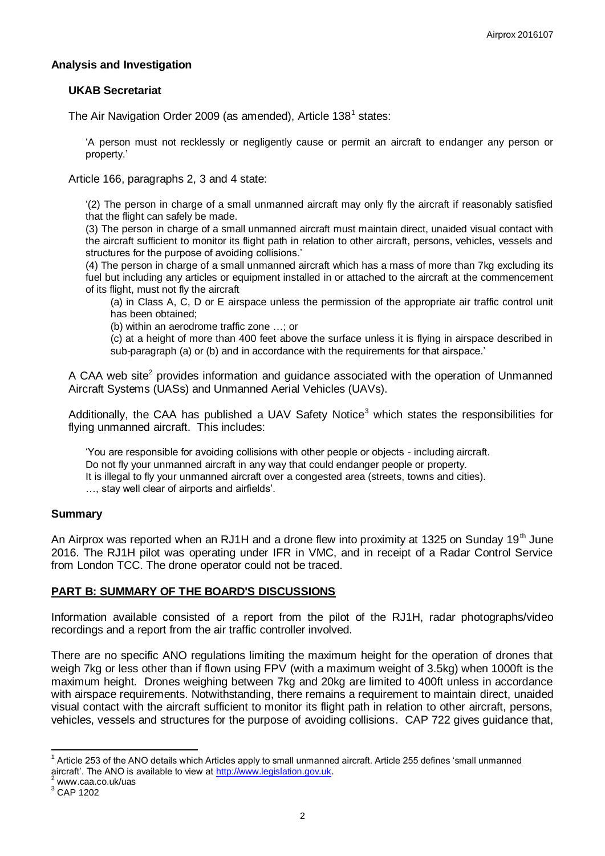# **Analysis and Investigation**

## **UKAB Secretariat**

The Air Navigation Order 2009 (as amended), Article 138<sup>1</sup> states:

'A person must not recklessly or negligently cause or permit an aircraft to endanger any person or property.'

Article 166, paragraphs 2, 3 and 4 state:

'(2) The person in charge of a small unmanned aircraft may only fly the aircraft if reasonably satisfied that the flight can safely be made.

(3) The person in charge of a small unmanned aircraft must maintain direct, unaided visual contact with the aircraft sufficient to monitor its flight path in relation to other aircraft, persons, vehicles, vessels and structures for the purpose of avoiding collisions.'

(4) The person in charge of a small unmanned aircraft which has a mass of more than 7kg excluding its fuel but including any articles or equipment installed in or attached to the aircraft at the commencement of its flight, must not fly the aircraft

(a) in Class A, C, D or E airspace unless the permission of the appropriate air traffic control unit has been obtained;

(b) within an aerodrome traffic zone …; or

(c) at a height of more than 400 feet above the surface unless it is flying in airspace described in sub-paragraph (a) or (b) and in accordance with the requirements for that airspace.'

A CAA web site<sup>2</sup> provides information and guidance associated with the operation of Unmanned Aircraft Systems (UASs) and Unmanned Aerial Vehicles (UAVs).

Additionally, the CAA has published a UAV Safety Notice<sup>3</sup> which states the responsibilities for flying unmanned aircraft. This includes:

'You are responsible for avoiding collisions with other people or objects - including aircraft. Do not fly your unmanned aircraft in any way that could endanger people or property. It is illegal to fly your unmanned aircraft over a congested area (streets, towns and cities). …, stay well clear of airports and airfields'.

#### **Summary**

An Airprox was reported when an RJ1H and a drone flew into proximity at 1325 on Sunday 19<sup>th</sup> June 2016. The RJ1H pilot was operating under IFR in VMC, and in receipt of a Radar Control Service from London TCC. The drone operator could not be traced.

# **PART B: SUMMARY OF THE BOARD'S DISCUSSIONS**

Information available consisted of a report from the pilot of the RJ1H, radar photographs/video recordings and a report from the air traffic controller involved.

There are no specific ANO regulations limiting the maximum height for the operation of drones that weigh 7kg or less other than if flown using FPV (with a maximum weight of 3.5kg) when 1000ft is the maximum height. Drones weighing between 7kg and 20kg are limited to 400ft unless in accordance with airspace requirements. Notwithstanding, there remains a requirement to maintain direct, unaided visual contact with the aircraft sufficient to monitor its flight path in relation to other aircraft, persons, vehicles, vessels and structures for the purpose of avoiding collisions. CAP 722 gives guidance that,

 $\overline{\phantom{a}}$  $1$  Article 253 of the ANO details which Articles apply to small unmanned aircraft. Article 255 defines 'small unmanned aircraft'. The ANO is available to view a[t http://www.legislation.gov.uk.](http://www.legislation.gov.uk/)

www.caa.co.uk/uas

<sup>3</sup> CAP 1202